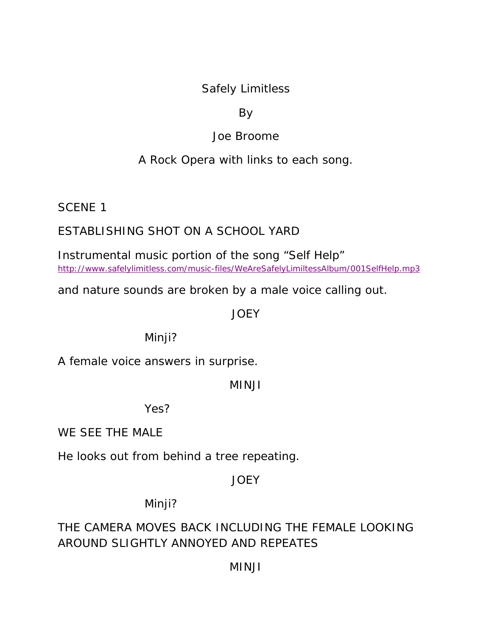# Safely Limitless

# By

# Joe Broome

# A Rock Opera with links to each song.

SCENE 1

# ESTABLISHING SHOT ON A SCHOOL YARD

Instrumental music portion of the song "Self Help" http://www.safelylimitless.com/music-files/WeAreSafelyLimiltessAlbum/001SelfHelp.mp3

and nature sounds are broken by a male voice calling out.

## **JOEY**

# Minji?

A female voice answers in surprise.

#### MINJI

Yes?

WE SEE THE MALE

He looks out from behind a tree repeating.

# **JOEY**

Minji?

# THE CAMERA MOVES BACK INCLUDING THE FEMALE LOOKING AROUND SLIGHTLY ANNOYED AND REPEATES

# MINJI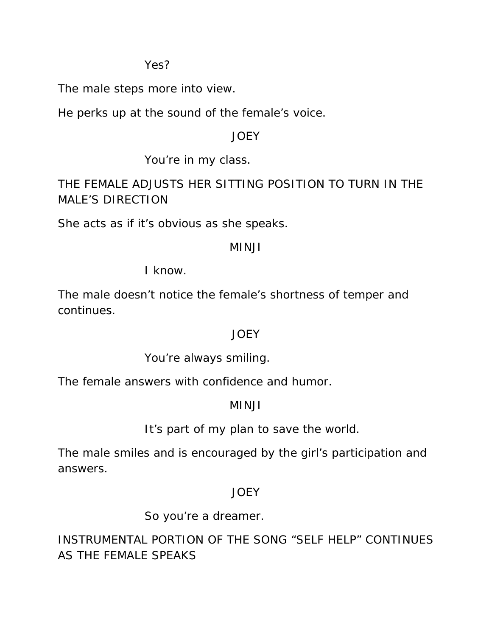Yes?

The male steps more into view.

He perks up at the sound of the female's voice.

# JOEY

You're in my class.

THE FEMALE ADJUSTS HER SITTING POSITION TO TURN IN THE MALE'S DIRECTION

She acts as if it's obvious as she speaks.

# MINJI

I know.

The male doesn't notice the female's shortness of temper and continues.

# **JOEY**

You're always smiling.

The female answers with confidence and humor.

# MINJI

It's part of my plan to save the world.

The male smiles and is encouraged by the girl's participation and answers.

# **JOEY**

So you're a dreamer.

INSTRUMENTAL PORTION OF THE SONG "SELF HELP" CONTINUES AS THE FEMALE SPEAKS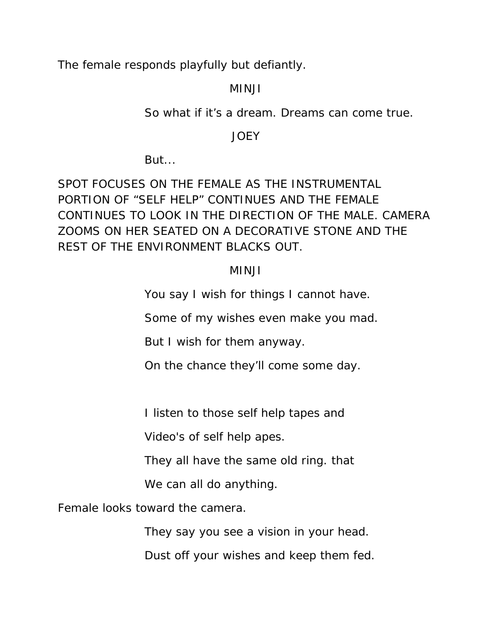The female responds playfully but defiantly.

## MINJI

So what if it's a dream. Dreams can come true.

#### JOEY

But...

SPOT FOCUSES ON THE FEMALE AS THE INSTRUMENTAL PORTION OF "SELF HELP" CONTINUES AND THE FEMALE CONTINUES TO LOOK IN THE DIRECTION OF THE MALE. CAMERA ZOOMS ON HER SEATED ON A DECORATIVE STONE AND THE REST OF THE ENVIRONMENT BLACKS OUT.

# MINJI

You say I wish for things I cannot have.

Some of my wishes even make you mad.

But I wish for them anyway.

On the chance they'll come some day.

I listen to those self help tapes and

Video's of self help apes.

They all have the same old ring. that

We can all do anything.

Female looks toward the camera.

They say you see a vision in your head.

Dust off your wishes and keep them fed.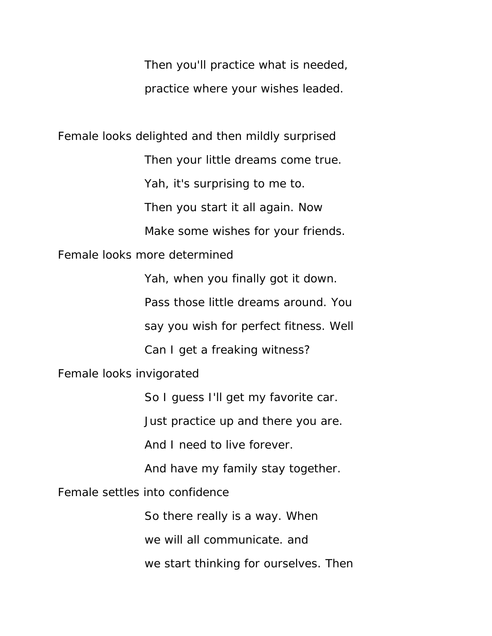Then you'll practice what is needed, practice where your wishes leaded.

Female looks delighted and then mildly surprised

Then your little dreams come true.

Yah, it's surprising to me to.

Then you start it all again. Now

Make some wishes for your friends.

Female looks more determined

Yah, when you finally got it down.

Pass those little dreams around. You

say you wish for perfect fitness. Well

Can I get a freaking witness?

Female looks invigorated

So I guess I'll get my favorite car.

Just practice up and there you are.

And I need to live forever.

And have my family stay together.

Female settles into confidence

So there really is a way. When

we will all communicate. and

we start thinking for ourselves. Then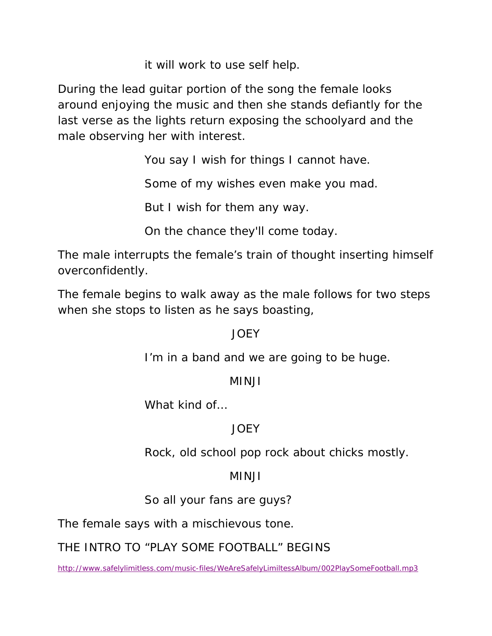it will work to use self help.

During the lead guitar portion of the song the female looks around enjoying the music and then she stands defiantly for the last verse as the lights return exposing the schoolyard and the male observing her with interest.

You say I wish for things I cannot have.

Some of my wishes even make you mad.

But I wish for them any way.

On the chance they'll come today.

The male interrupts the female's train of thought inserting himself overconfidently.

The female begins to walk away as the male follows for two steps when she stops to listen as he says boasting,

# JOEY

I'm in a band and we are going to be huge.

# MINJI

What kind of…

# JOEY

Rock, old school pop rock about chicks mostly.

# MINJI

So all your fans are guys?

The female says with a mischievous tone.

THE INTRO TO "PLAY SOME FOOTBALL" BEGINS

http://www.safelylimitless.com/music-files/WeAreSafelyLimiltessAlbum/002PlaySomeFootball.mp3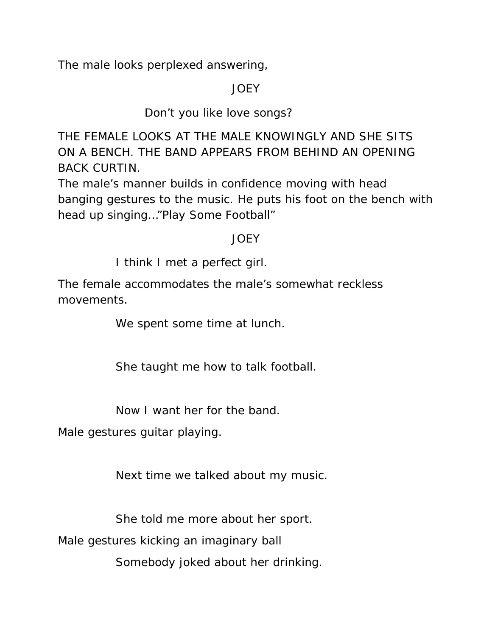The male looks perplexed answering,

# JOEY

# Don't you like love songs?

THE FEMALE LOOKS AT THE MALE KNOWINGLY AND SHE SITS ON A BENCH. THE BAND APPEARS FROM BEHIND AN OPENING BACK CURTIN.

The male's manner builds in confidence moving with head banging gestures to the music. He puts his foot on the bench with head up singing…"Play Some Football"

## JOEY

I think I met a perfect girl.

The female accommodates the male's somewhat reckless movements.

We spent some time at lunch.

She taught me how to talk football.

Now I want her for the band.

Male gestures guitar playing.

Next time we talked about my music.

She told me more about her sport.

Male gestures kicking an imaginary ball

Somebody joked about her drinking.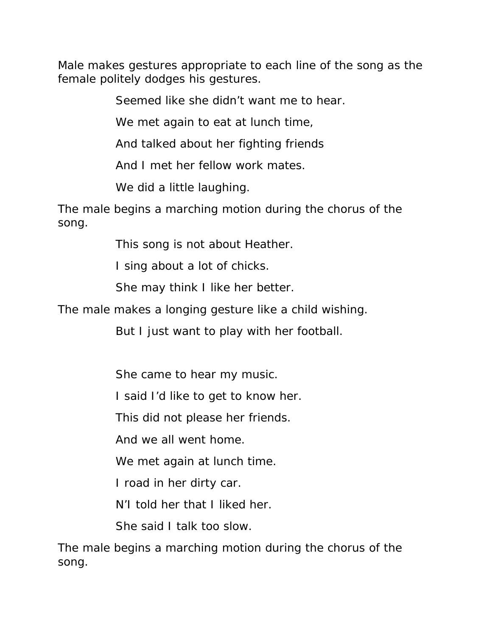Male makes gestures appropriate to each line of the song as the female politely dodges his gestures.

Seemed like she didn't want me to hear.

We met again to eat at lunch time,

And talked about her fighting friends

And I met her fellow work mates.

We did a little laughing.

The male begins a marching motion during the chorus of the song.

This song is not about Heather.

I sing about a lot of chicks.

She may think I like her better.

The male makes a longing gesture like a child wishing.

But I just want to play with her football.

She came to hear my music.

I said I'd like to get to know her.

This did not please her friends.

And we all went home.

We met again at lunch time.

I road in her dirty car.

N'I told her that I liked her.

She said I talk too slow.

The male begins a marching motion during the chorus of the song.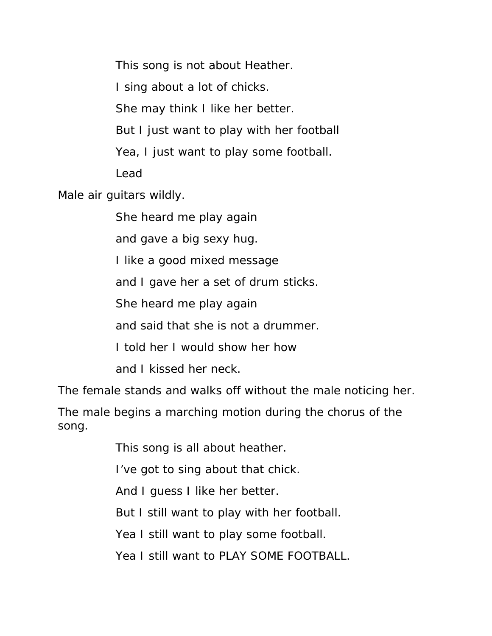This song is not about Heather.

I sing about a lot of chicks.

She may think I like her better.

But I just want to play with her football

Yea, I just want to play some football.

Lead

Male air guitars wildly.

She heard me play again

and gave a big sexy hug.

I like a good mixed message

and I gave her a set of drum sticks.

She heard me play again

and said that she is not a drummer.

I told her I would show her how

and I kissed her neck.

The female stands and walks off without the male noticing her.

The male begins a marching motion during the chorus of the song.

This song is all about heather.

I've got to sing about that chick.

And I guess I like her better.

But I still want to play with her football.

Yea I still want to play some football.

Yea I still want to PLAY SOME FOOTBALL.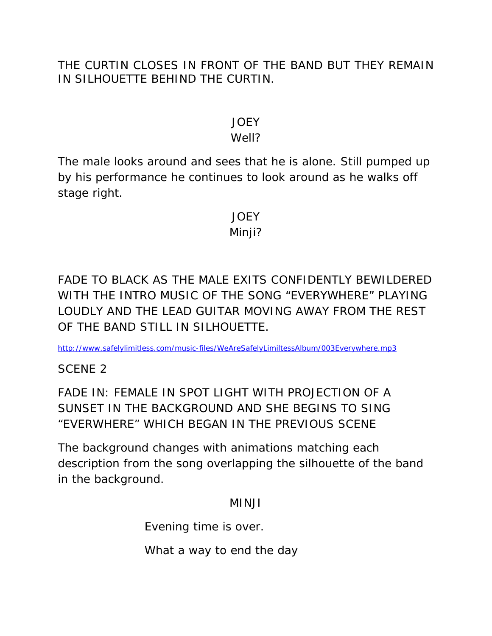# THE CURTIN CLOSES IN FRONT OF THE BAND BUT THEY REMAIN IN SILHOUETTE BEHIND THE CURTIN.

# JOEY

## Well?

The male looks around and sees that he is alone. Still pumped up by his performance he continues to look around as he walks off stage right.

# JOEY Minji?

FADE TO BLACK AS THE MALE EXITS CONFIDENTLY BEWILDERED WITH THE INTRO MUSIC OF THE SONG "EVERYWHERE" PLAYING LOUDLY AND THE LEAD GUITAR MOVING AWAY FROM THE REST OF THE BAND STILL IN SILHOUETTE.

http://www.safelylimitless.com/music-files/WeAreSafelyLimiltessAlbum/003Everywhere.mp3

SCENE 2

FADE IN: FEMALE IN SPOT LIGHT WITH PROJECTION OF A SUNSET IN THE BACKGROUND AND SHE BEGINS TO SING "EVERWHERE" WHICH BEGAN IN THE PREVIOUS SCENE

The background changes with animations matching each description from the song overlapping the silhouette of the band in the background.

#### MINJI

Evening time is over.

What a way to end the day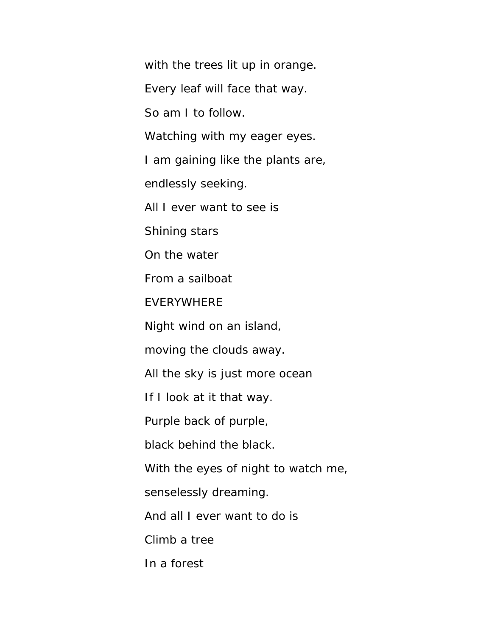with the trees lit up in orange.

Every leaf will face that way.

So am I to follow.

Watching with my eager eyes.

I am gaining like the plants are,

endlessly seeking.

All I ever want to see is

Shining stars

On the water

From a sailboat

EVERYWHERE

Night wind on an island,

moving the clouds away.

All the sky is just more ocean

If I look at it that way.

Purple back of purple,

black behind the black.

With the eyes of night to watch me,

senselessly dreaming.

And all I ever want to do is

Climb a tree

In a forest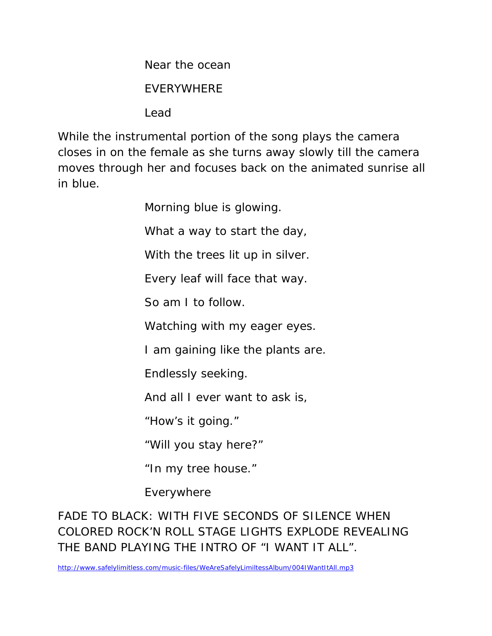Near the ocean

## EVERYWHERE

Lead

While the instrumental portion of the song plays the camera closes in on the female as she turns away slowly till the camera moves through her and focuses back on the animated sunrise all in blue.

Morning blue is glowing.

What a way to start the day,

With the trees lit up in silver.

Every leaf will face that way.

So am I to follow.

Watching with my eager eyes.

I am gaining like the plants are.

Endlessly seeking.

And all I ever want to ask is,

"How's it going."

"Will you stay here?"

"In my tree house."

Everywhere

FADE TO BLACK: WITH FIVE SECONDS OF SILENCE WHEN COLORED ROCK'N ROLL STAGE LIGHTS EXPLODE REVEALING THE BAND PLAYING THE INTRO OF "I WANT IT ALL".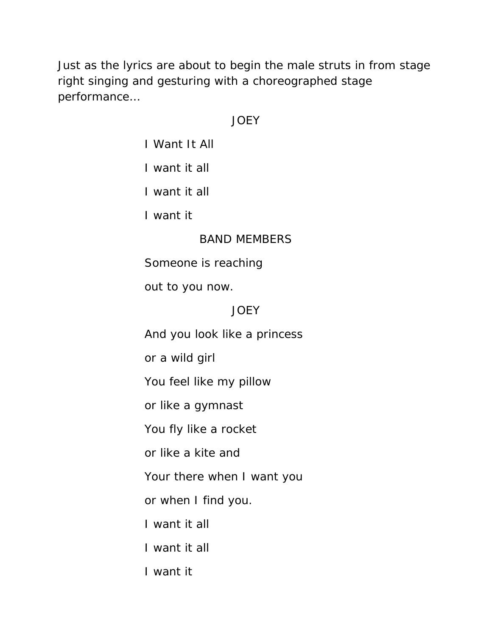Just as the lyrics are about to begin the male struts in from stage right singing and gesturing with a choreographed stage performance…

## JOEY

I Want It All

I want it all

I want it all

I want it

## BAND MEMBERS

Someone is reaching

out to you now.

# JOEY

And you look like a princess

or a wild girl

You feel like my pillow

or like a gymnast

You fly like a rocket

or like a kite and

Your there when I want you

or when I find you.

I want it all

I want it all

I want it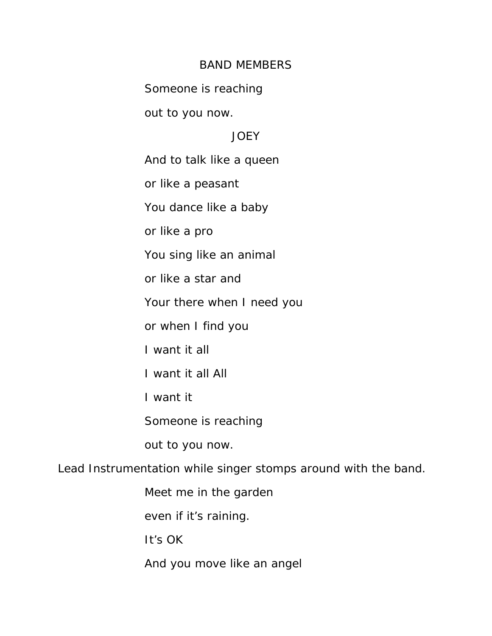#### BAND MEMBERS

Someone is reaching

out to you now.

## **JOEY**

And to talk like a queen

or like a peasant

You dance like a baby

or like a pro

You sing like an animal

or like a star and

Your there when I need you

or when I find you

I want it all

I want it all All

I want it

Someone is reaching

out to you now.

Lead Instrumentation while singer stomps around with the band.

Meet me in the garden

even if it's raining.

It's OK

And you move like an angel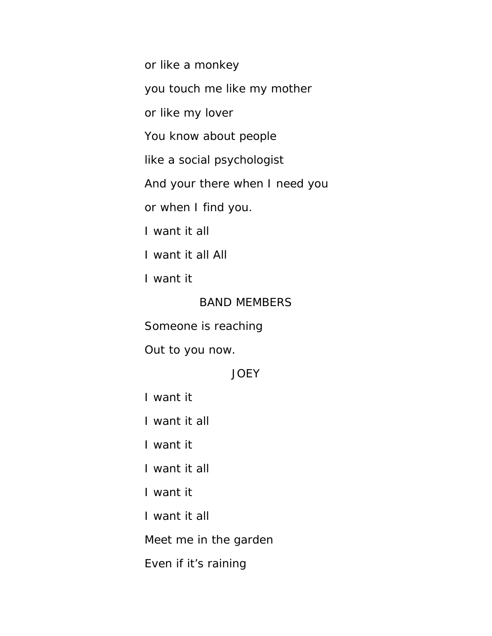or like a monkey

you touch me like my mother

or like my lover

You know about people

like a social psychologist

And your there when I need you

or when I find you.

I want it all

I want it all All

I want it

BAND MEMBERS

Someone is reaching

Out to you now.

#### **JOEY**

I want it

I want it all

I want it

I want it all

I want it

I want it all

Meet me in the garden

Even if it's raining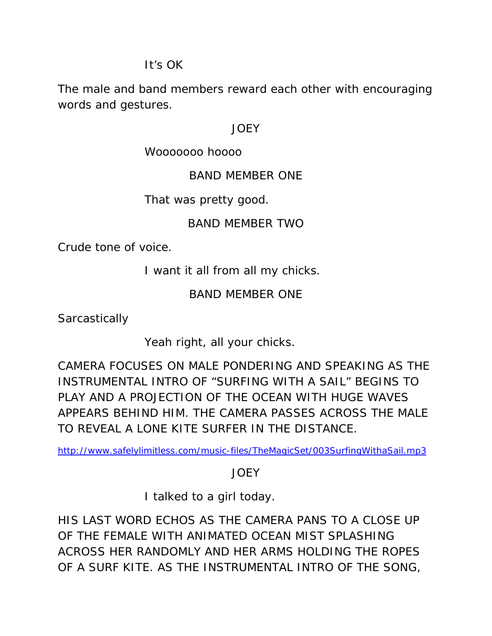## It's OK

The male and band members reward each other with encouraging words and gestures.

#### JOEY

## Wooooooo hoooo

## BAND MEMBER ONE

## That was pretty good.

# BAND MEMBER TWO

Crude tone of voice.

I want it all from all my chicks.

# BAND MEMBER ONE

**Sarcastically** 

Yeah right, all your chicks.

CAMERA FOCUSES ON MALE PONDERING AND SPEAKING AS THE INSTRUMENTAL INTRO OF "SURFING WITH A SAIL" BEGINS TO PLAY AND A PROJECTION OF THE OCEAN WITH HUGE WAVES APPEARS BEHIND HIM. THE CAMERA PASSES ACROSS THE MALE TO REVEAL A LONE KITE SURFER IN THE DISTANCE.

http://www.safelylimitless.com/music-files/TheMagicSet/003SurfingWithaSail.mp3

**JOEY** 

I talked to a girl today.

HIS LAST WORD ECHOS AS THE CAMERA PANS TO A CLOSE UP OF THE FEMALE WITH ANIMATED OCEAN MIST SPLASHING ACROSS HER RANDOMLY AND HER ARMS HOLDING THE ROPES OF A SURF KITE. AS THE INSTRUMENTAL INTRO OF THE SONG,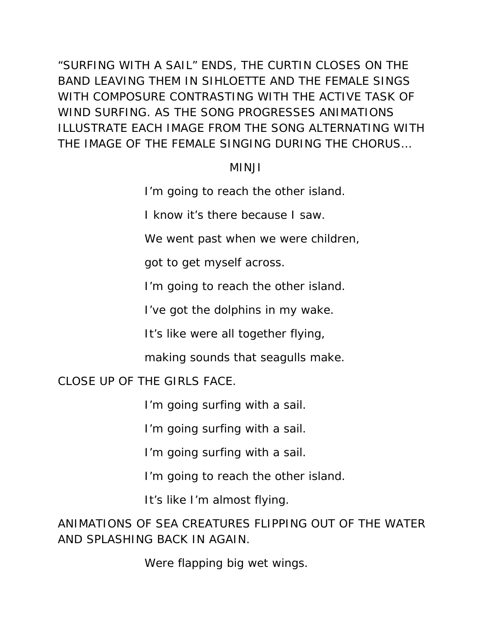"SURFING WITH A SAIL" ENDS, THE CURTIN CLOSES ON THE BAND LEAVING THEM IN SIHLOETTE AND THE FEMALE SINGS WITH COMPOSURE CONTRASTING WITH THE ACTIVE TASK OF WIND SURFING. AS THE SONG PROGRESSES ANIMATIONS ILLUSTRATE EACH IMAGE FROM THE SONG ALTERNATING WITH THE IMAGE OF THE FEMALE SINGING DURING THE CHORUS…

#### MINJI

I'm going to reach the other island.

I know it's there because I saw.

We went past when we were children,

got to get myself across.

I'm going to reach the other island.

I've got the dolphins in my wake.

It's like were all together flying,

making sounds that seagulls make.

CLOSE UP OF THE GIRLS FACE.

I'm going surfing with a sail.

I'm going surfing with a sail.

I'm going surfing with a sail.

I'm going to reach the other island.

It's like I'm almost flying.

ANIMATIONS OF SEA CREATURES FLIPPING OUT OF THE WATER AND SPLASHING BACK IN AGAIN.

Were flapping big wet wings.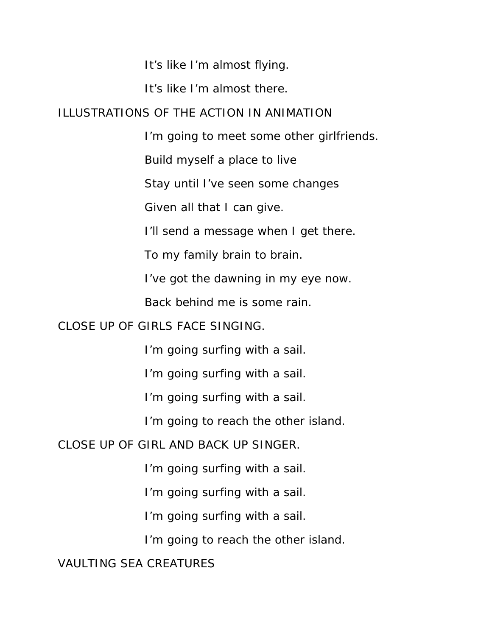It's like I'm almost flying.

It's like I'm almost there.

#### ILLUSTRATIONS OF THE ACTION IN ANIMATION

I'm going to meet some other girlfriends.

Build myself a place to live

Stay until I've seen some changes

Given all that I can give.

I'll send a message when I get there.

To my family brain to brain.

I've got the dawning in my eye now.

Back behind me is some rain.

CLOSE UP OF GIRLS FACE SINGING.

I'm going surfing with a sail.

I'm going surfing with a sail.

I'm going surfing with a sail.

I'm going to reach the other island.

CLOSE UP OF GIRL AND BACK UP SINGER.

I'm going surfing with a sail.

I'm going surfing with a sail.

I'm going surfing with a sail.

I'm going to reach the other island.

VAULTING SEA CREATURES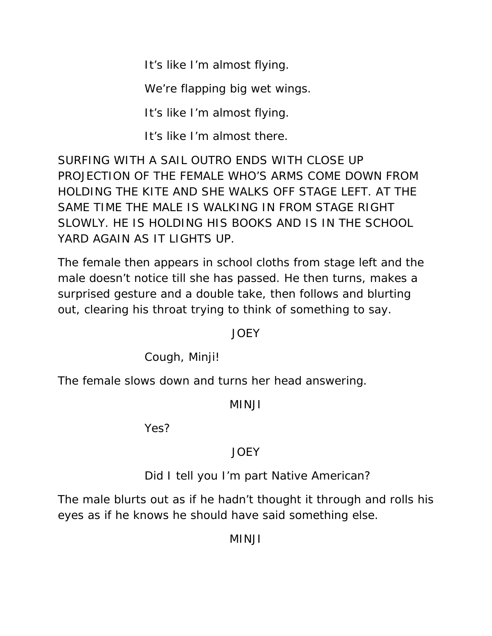It's like I'm almost flying.

We're flapping big wet wings.

It's like I'm almost flying.

It's like I'm almost there.

SURFING WITH A SAIL OUTRO ENDS WITH CLOSE UP PROJECTION OF THE FEMALE WHO'S ARMS COME DOWN FROM HOLDING THE KITE AND SHE WALKS OFF STAGE LEFT. AT THE SAME TIME THE MALE IS WALKING IN FROM STAGE RIGHT SLOWLY. HE IS HOLDING HIS BOOKS AND IS IN THE SCHOOL YARD AGAIN AS IT LIGHTS UP.

The female then appears in school cloths from stage left and the male doesn't notice till she has passed. He then turns, makes a surprised gesture and a double take, then follows and blurting out, clearing his throat trying to think of something to say.

# JOEY

Cough, Minji!

The female slows down and turns her head answering.

# MINJI

Yes?

# JOEY

Did I tell you I'm part Native American?

The male blurts out as if he hadn't thought it through and rolls his eyes as if he knows he should have said something else.

MINJI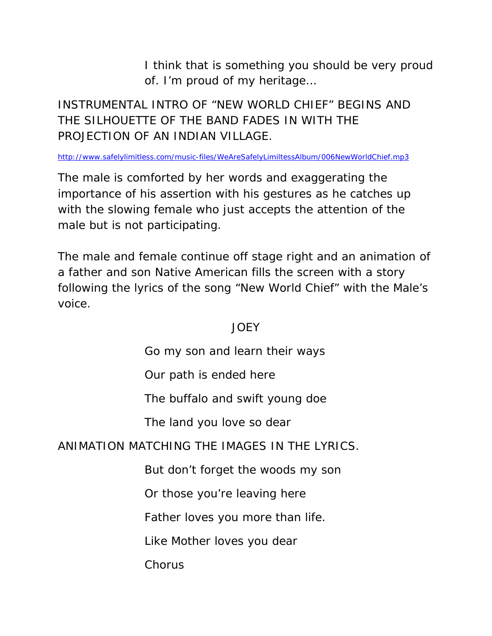I think that is something you should be very proud of. I'm proud of my heritage…

# INSTRUMENTAL INTRO OF "NEW WORLD CHIEF" BEGINS AND THE SILHOUETTE OF THE BAND FADES IN WITH THE PROJECTION OF AN INDIAN VILLAGE.

http://www.safelylimitless.com/music-files/WeAreSafelyLimiltessAlbum/006NewWorldChief.mp3

The male is comforted by her words and exaggerating the importance of his assertion with his gestures as he catches up with the slowing female who just accepts the attention of the male but is not participating.

The male and female continue off stage right and an animation of a father and son Native American fills the screen with a story following the lyrics of the song "New World Chief" with the Male's voice.

# **JOEY**

Go my son and learn their ways

Our path is ended here

The buffalo and swift young doe

The land you love so dear

# ANIMATION MATCHING THE IMAGES IN THE LYRICS.

But don't forget the woods my son

Or those you're leaving here

Father loves you more than life.

Like Mother loves you dear

**Chorus**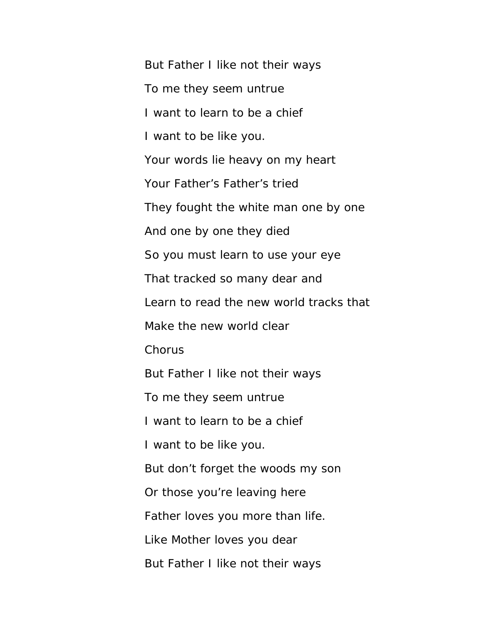But Father I like not their ways To me they seem untrue I want to learn to be a chief I want to be like you. Your words lie heavy on my heart Your Father's Father's tried They fought the white man one by one And one by one they died So you must learn to use your eye That tracked so many dear and Learn to read the new world tracks that Make the new world clear Chorus But Father I like not their ways To me they seem untrue I want to learn to be a chief I want to be like you. But don't forget the woods my son Or those you're leaving here Father loves you more than life. Like Mother loves you dear But Father I like not their ways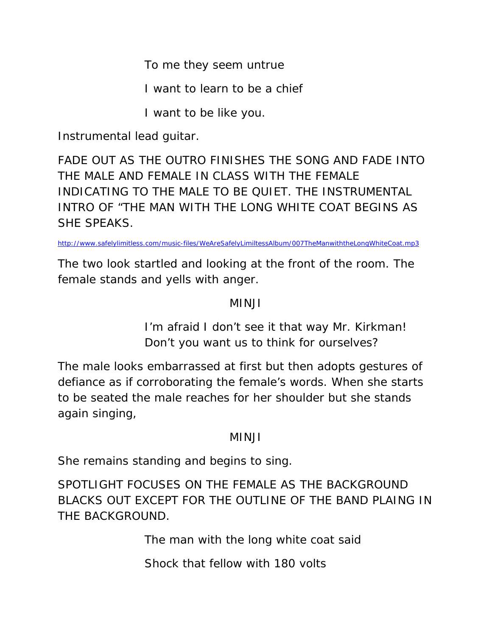To me they seem untrue

I want to learn to be a chief

I want to be like you.

Instrumental lead guitar.

FADE OUT AS THE OUTRO FINISHES THE SONG AND FADE INTO THE MALE AND FEMALE IN CLASS WITH THE FEMALE INDICATING TO THE MALE TO BE QUIET. THE INSTRUMENTAL INTRO OF "THE MAN WITH THE LONG WHITE COAT BEGINS AS SHE SPEAKS.

http://www.safelylimitless.com/music-files/WeAreSafelyLimiltessAlbum/007TheManwiththeLongWhiteCoat.mp3

The two look startled and looking at the front of the room. The female stands and yells with anger.

# MINJI

I'm afraid I don't see it that way Mr. Kirkman! Don't you want us to think for ourselves?

The male looks embarrassed at first but then adopts gestures of defiance as if corroborating the female's words. When she starts to be seated the male reaches for her shoulder but she stands again singing,

# MINJI

She remains standing and begins to sing.

SPOTLIGHT FOCUSES ON THE FEMALE AS THE BACKGROUND BLACKS OUT EXCEPT FOR THE OUTLINE OF THE BAND PLAING IN THE BACKGROUND.

The man with the long white coat said

Shock that fellow with 180 volts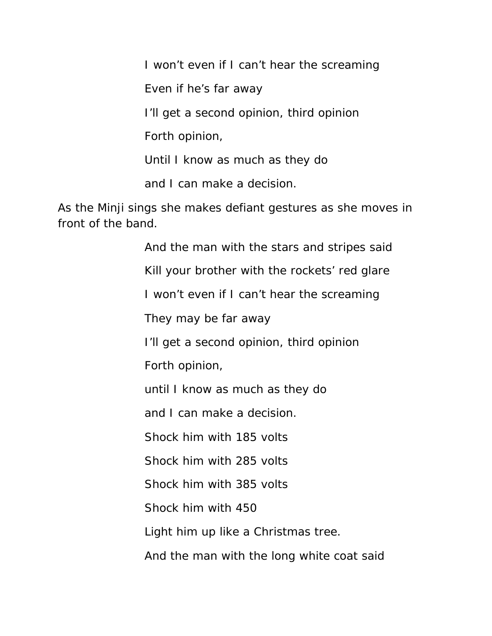I won't even if I can't hear the screaming Even if he's far away I'll get a second opinion, third opinion Forth opinion, Until I know as much as they do and I can make a decision.

As the Minji sings she makes defiant gestures as she moves in front of the band.

> And the man with the stars and stripes said Kill your brother with the rockets' red glare I won't even if I can't hear the screaming They may be far away I'll get a second opinion, third opinion Forth opinion, until I know as much as they do and I can make a decision. Shock him with 185 volts Shock him with 285 volts Shock him with 385 volts Shock him with 450 Light him up like a Christmas tree. And the man with the long white coat said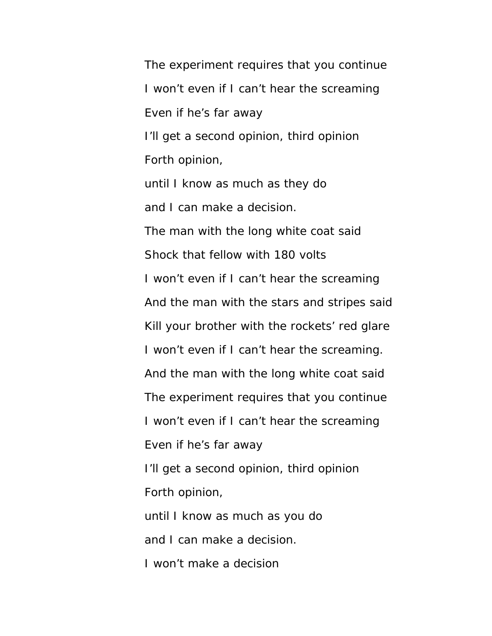The experiment requires that you continue I won't even if I can't hear the screaming Even if he's far away I'll get a second opinion, third opinion Forth opinion, until I know as much as they do and I can make a decision. The man with the long white coat said Shock that fellow with 180 volts I won't even if I can't hear the screaming And the man with the stars and stripes said Kill your brother with the rockets' red glare I won't even if I can't hear the screaming. And the man with the long white coat said The experiment requires that you continue I won't even if I can't hear the screaming Even if he's far away I'll get a second opinion, third opinion Forth opinion, until I know as much as you do and I can make a decision. I won't make a decision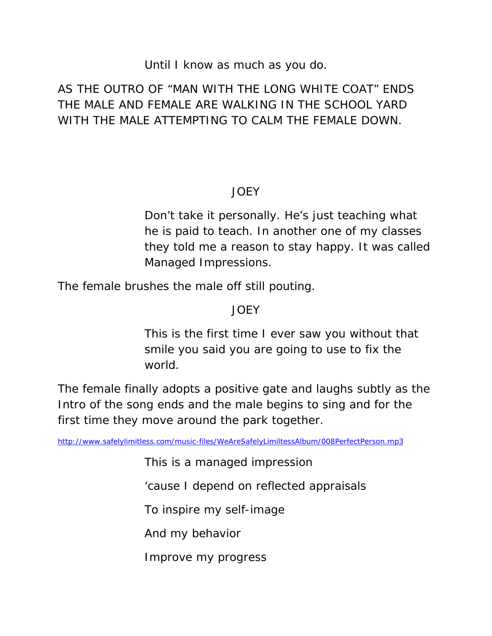## Until I know as much as you do.

# AS THE OUTRO OF "MAN WITH THE LONG WHITE COAT" ENDS THE MALE AND FEMALE ARE WALKING IN THE SCHOOL YARD WITH THE MALE ATTEMPTING TO CALM THE FEMALE DOWN.

# JOEY

Don't take it personally. He's just teaching what he is paid to teach. In another one of my classes they told me a reason to stay happy. It was called Managed Impressions.

The female brushes the male off still pouting.

# JOEY

This is the first time I ever saw you without that smile you said you are going to use to fix the world.

The female finally adopts a positive gate and laughs subtly as the Intro of the song ends and the male begins to sing and for the first time they move around the park together.

http://www.safelylimitless.com/music-files/WeAreSafelyLimiltessAlbum/008PerfectPerson.mp3

This is a managed impression

'cause I depend on reflected appraisals

To inspire my self-image

And my behavior

Improve my progress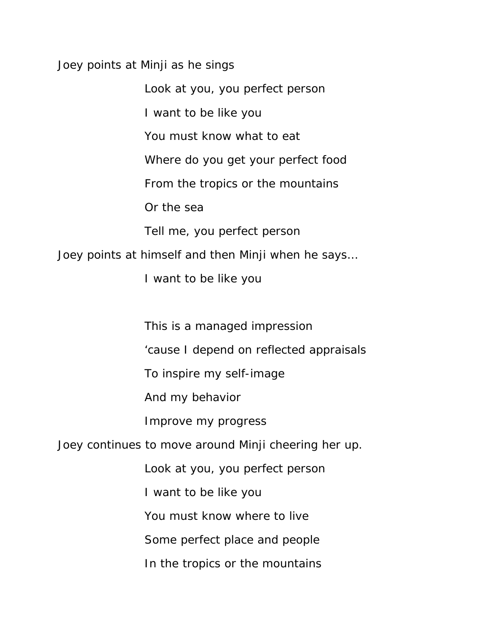Joey points at Minji as he sings

Look at you, you perfect person I want to be like you You must know what to eat Where do you get your perfect food From the tropics or the mountains Or the sea Tell me, you perfect person Joey points at himself and then Minji when he says…

I want to be like you

This is a managed impression

'cause I depend on reflected appraisals

To inspire my self-image

And my behavior

Improve my progress

Joey continues to move around Minji cheering her up.

Look at you, you perfect person

I want to be like you

You must know where to live

Some perfect place and people

In the tropics or the mountains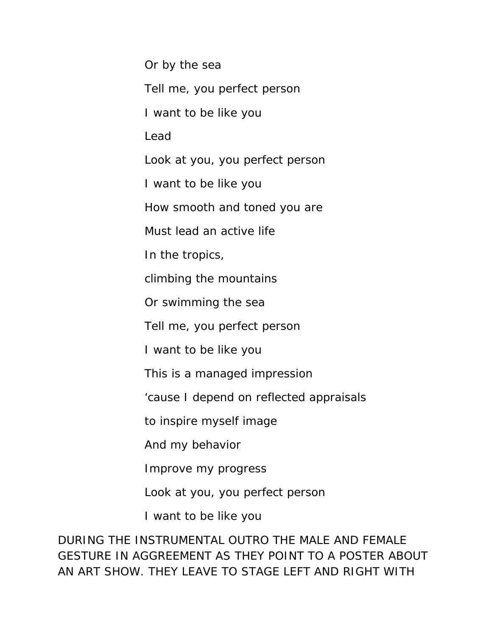Or by the sea Tell me, you perfect person I want to be like you Lead Look at you, you perfect person I want to be like you How smooth and toned you are Must lead an active life In the tropics, climbing the mountains Or swimming the sea Tell me, you perfect person I want to be like you This is a managed impression 'cause I depend on reflected appraisals to inspire myself image And my behavior Improve my progress Look at you, you perfect person

I want to be like you

DURING THE INSTRUMENTAL OUTRO THE MALE AND FEMALE GESTURE IN AGGREEMENT AS THEY POINT TO A POSTER ABOUT AN ART SHOW. THEY LEAVE TO STAGE LEFT AND RIGHT WITH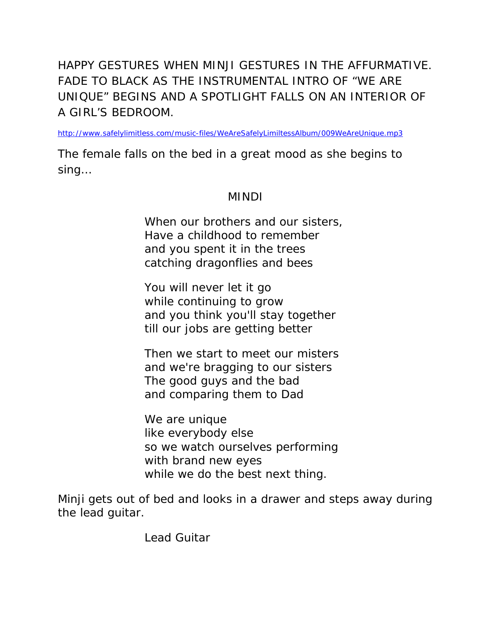HAPPY GESTURES WHEN MINJI GESTURES IN THE AFFURMATIVE. FADE TO BLACK AS THE INSTRUMENTAL INTRO OF "WE ARE UNIQUE" BEGINS AND A SPOTLIGHT FALLS ON AN INTERIOR OF A GIRL'S BEDROOM.

http://www.safelylimitless.com/music-files/WeAreSafelyLimiltessAlbum/009WeAreUnique.mp3

The female falls on the bed in a great mood as she begins to sing…

## MINDI

When our brothers and our sisters, Have a childhood to remember and you spent it in the trees catching dragonflies and bees

You will never let it go while continuing to grow and you think you'll stay together till our jobs are getting better

Then we start to meet our misters and we're bragging to our sisters The good guys and the bad and comparing them to Dad

We are unique like everybody else so we watch ourselves performing with brand new eyes while we do the best next thing.

Minji gets out of bed and looks in a drawer and steps away during the lead guitar.

Lead Guitar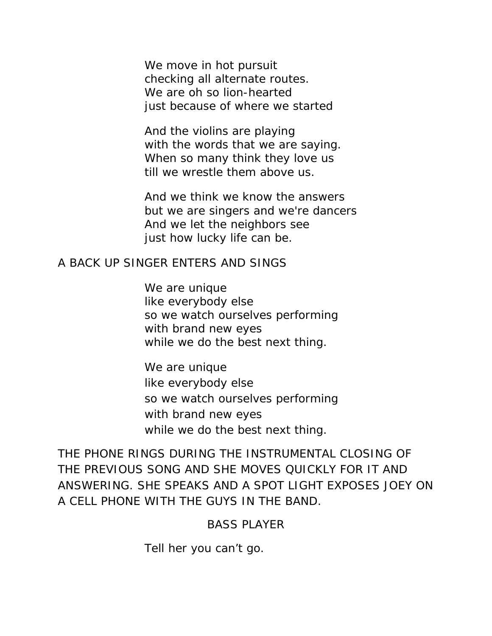We move in hot pursuit checking all alternate routes. We are oh so lion-hearted just because of where we started

And the violins are playing with the words that we are saying. When so many think they love us till we wrestle them above us.

And we think we know the answers but we are singers and we're dancers And we let the neighbors see just how lucky life can be.

#### A BACK UP SINGER ENTERS AND SINGS

We are unique like everybody else so we watch ourselves performing with brand new eyes while we do the best next thing.

We are unique like everybody else so we watch ourselves performing with brand new eyes while we do the best next thing.

THE PHONE RINGS DURING THE INSTRUMENTAL CLOSING OF THE PREVIOUS SONG AND SHE MOVES QUICKLY FOR IT AND ANSWERING. SHE SPEAKS AND A SPOT LIGHT EXPOSES JOEY ON A CELL PHONE WITH THE GUYS IN THE BAND.

#### BASS PLAYER

Tell her you can't go.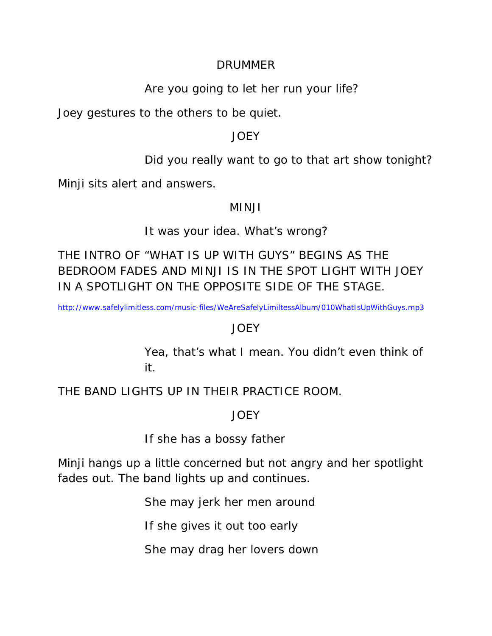#### DRUMMER

# Are you going to let her run your life?

Joey gestures to the others to be quiet.

## JOEY

Did you really want to go to that art show tonight?

Minji sits alert and answers.

## MINJI

# It was your idea. What's wrong?

THE INTRO OF "WHAT IS UP WITH GUYS" BEGINS AS THE BEDROOM FADES AND MINJI IS IN THE SPOT LIGHT WITH JOEY IN A SPOTLIGHT ON THE OPPOSITE SIDE OF THE STAGE.

http://www.safelylimitless.com/music-files/WeAreSafelyLimiltessAlbum/010WhatIsUpWithGuys.mp3

# JOEY

Yea, that's what I mean. You didn't even think of it.

THE BAND LIGHTS UP IN THEIR PRACTICE ROOM.

# JOEY

If she has a bossy father

Minji hangs up a little concerned but not angry and her spotlight fades out. The band lights up and continues.

She may jerk her men around

If she gives it out too early

She may drag her lovers down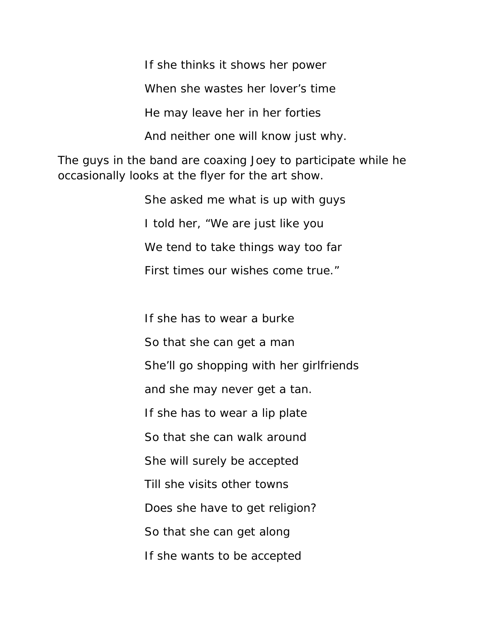If she thinks it shows her power

When she wastes her lover's time

He may leave her in her forties

And neither one will know just why.

The guys in the band are coaxing Joey to participate while he occasionally looks at the flyer for the art show.

> She asked me what is up with guys I told her, "We are just like you We tend to take things way too far First times our wishes come true."

If she has to wear a burke So that she can get a man She'll go shopping with her girlfriends and she may never get a tan. If she has to wear a lip plate So that she can walk around She will surely be accepted Till she visits other towns Does she have to get religion? So that she can get along If she wants to be accepted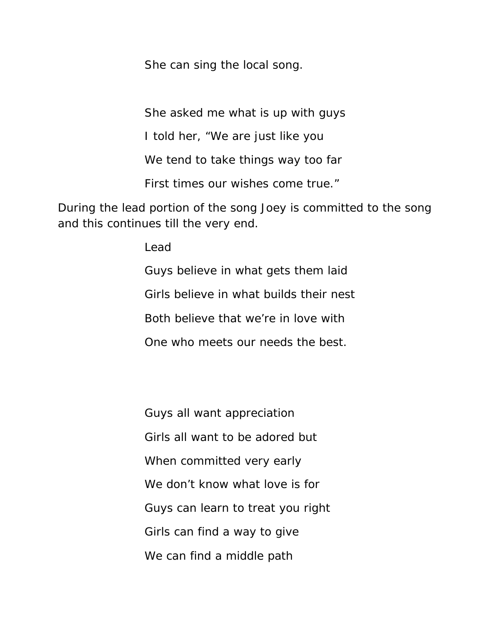She can sing the local song.

She asked me what is up with guys

I told her, "We are just like you

We tend to take things way too far

First times our wishes come true."

During the lead portion of the song Joey is committed to the song and this continues till the very end.

Lead

Guys believe in what gets them laid Girls believe in what builds their nest Both believe that we're in love with One who meets our needs the best.

Guys all want appreciation Girls all want to be adored but When committed very early We don't know what love is for Guys can learn to treat you right Girls can find a way to give We can find a middle path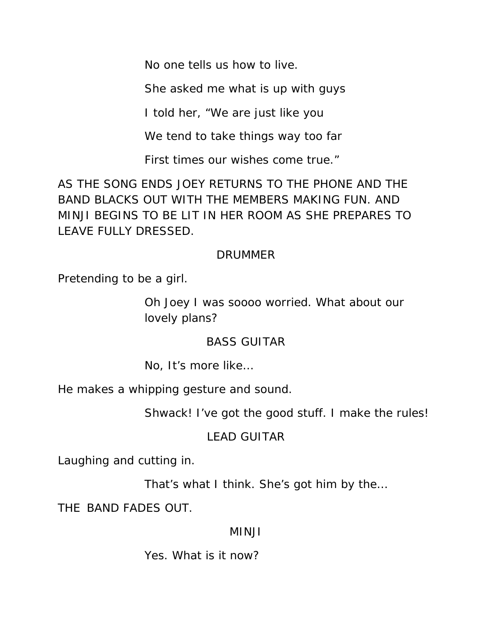No one tells us how to live.

She asked me what is up with guys

I told her, "We are just like you

We tend to take things way too far

First times our wishes come true."

AS THE SONG ENDS JOEY RETURNS TO THE PHONE AND THE BAND BLACKS OUT WITH THE MEMBERS MAKING FUN. AND MINJI BEGINS TO BE LIT IN HER ROOM AS SHE PREPARES TO LEAVE FULLY DRESSED.

# DRUMMER

Pretending to be a girl.

Oh Joey I was soooo worried. What about our lovely plans?

# BASS GUITAR

No, It's more like…

He makes a whipping gesture and sound.

Shwack! I've got the good stuff. I make the rules!

# LEAD GUITAR

Laughing and cutting in.

That's what I think. She's got him by the…

THE BAND FADES OUT.

# MINJI

Yes. What is it now?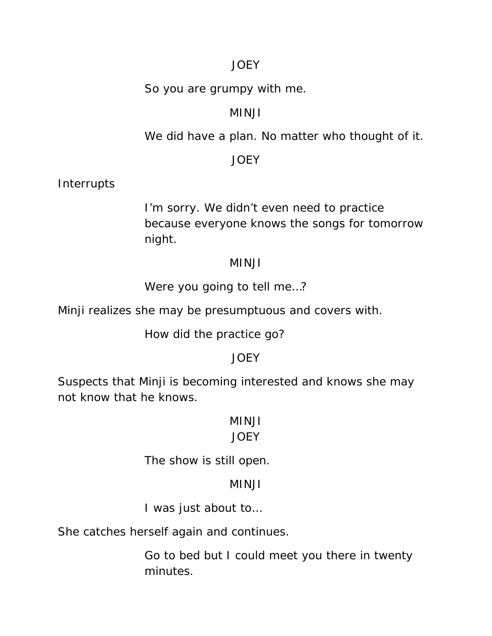## JOEY

So you are grumpy with me.

## MINJI

We did have a plan. No matter who thought of it.

## JOEY

Interrupts

I'm sorry. We didn't even need to practice because everyone knows the songs for tomorrow night.

#### MINJI

Were you going to tell me…?

Minji realizes she may be presumptuous and covers with.

How did the practice go?

# **JOEY**

Suspects that Minji is becoming interested and knows she may not know that he knows.

# MINJI

#### **JOEY**

The show is still open.

# MINJI

I was just about to…

She catches herself again and continues.

Go to bed but I could meet you there in twenty minutes.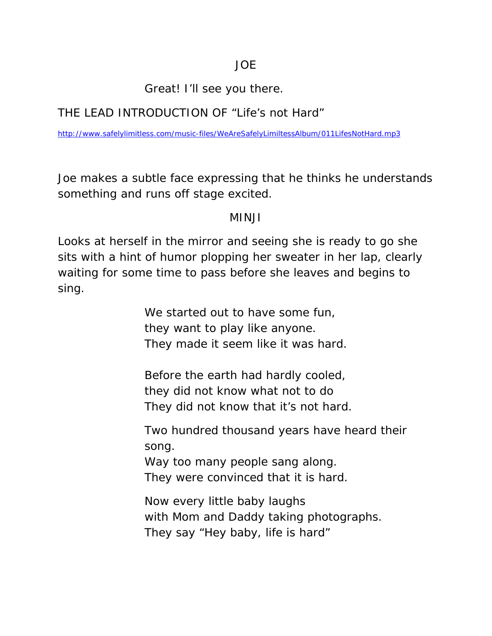# Great! I'll see you there.

# THE LEAD INTRODUCTION OF "Life's not Hard"

http://www.safelylimitless.com/music-files/WeAreSafelyLimiltessAlbum/011LifesNotHard.mp3

Joe makes a subtle face expressing that he thinks he understands something and runs off stage excited.

#### MINJI

Looks at herself in the mirror and seeing she is ready to go she sits with a hint of humor plopping her sweater in her lap, clearly waiting for some time to pass before she leaves and begins to sing.

> We started out to have some fun, they want to play like anyone. They made it seem like it was hard.

Before the earth had hardly cooled, they did not know what not to do They did not know that it's not hard.

Two hundred thousand years have heard their song.

Way too many people sang along. They were convinced that it is hard.

Now every little baby laughs with Mom and Daddy taking photographs. They say "Hey baby, life is hard"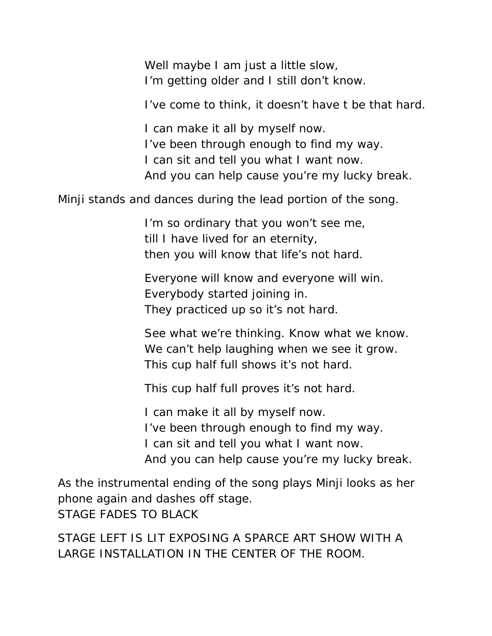Well maybe I am just a little slow, I'm getting older and I still don't know.

I've come to think, it doesn't have t be that hard.

I can make it all by myself now. I've been through enough to find my way. I can sit and tell you what I want now. And you can help cause you're my lucky break.

Minji stands and dances during the lead portion of the song.

 I'm so ordinary that you won't see me, till I have lived for an eternity, then you will know that life's not hard.

 Everyone will know and everyone will win. Everybody started joining in. They practiced up so it's not hard.

 See what we're thinking. Know what we know. We can't help laughing when we see it grow. This cup half full shows it's not hard.

This cup half full proves it's not hard.

I can make it all by myself now. I've been through enough to find my way. I can sit and tell you what I want now. And you can help cause you're my lucky break.

As the instrumental ending of the song plays Minji looks as her phone again and dashes off stage. STAGE FADES TO BLACK

STAGE LEFT IS LIT EXPOSING A SPARCE ART SHOW WITH A LARGE INSTALLATION IN THE CENTER OF THE ROOM.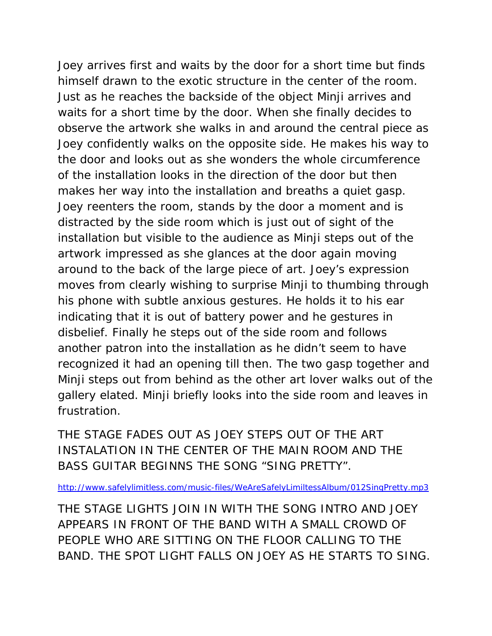Joey arrives first and waits by the door for a short time but finds himself drawn to the exotic structure in the center of the room. Just as he reaches the backside of the object Minji arrives and waits for a short time by the door. When she finally decides to observe the artwork she walks in and around the central piece as Joey confidently walks on the opposite side. He makes his way to the door and looks out as she wonders the whole circumference of the installation looks in the direction of the door but then makes her way into the installation and breaths a quiet gasp. Joey reenters the room, stands by the door a moment and is distracted by the side room which is just out of sight of the installation but visible to the audience as Minji steps out of the artwork impressed as she glances at the door again moving around to the back of the large piece of art. Joey's expression moves from clearly wishing to surprise Minji to thumbing through his phone with subtle anxious gestures. He holds it to his ear indicating that it is out of battery power and he gestures in disbelief. Finally he steps out of the side room and follows another patron into the installation as he didn't seem to have recognized it had an opening till then. The two gasp together and Minji steps out from behind as the other art lover walks out of the gallery elated. Minji briefly looks into the side room and leaves in frustration.

THE STAGE FADES OUT AS JOEY STEPS OUT OF THE ART INSTALATION IN THE CENTER OF THE MAIN ROOM AND THE BASS GUITAR BEGINNS THE SONG "SING PRETTY".

http://www.safelylimitless.com/music-files/WeAreSafelyLimiltessAlbum/012SingPretty.mp3

THE STAGE LIGHTS JOIN IN WITH THE SONG INTRO AND JOEY APPEARS IN FRONT OF THE BAND WITH A SMALL CROWD OF PEOPLE WHO ARE SITTING ON THE FLOOR CALLING TO THE BAND. THE SPOT LIGHT FALLS ON JOEY AS HE STARTS TO SING.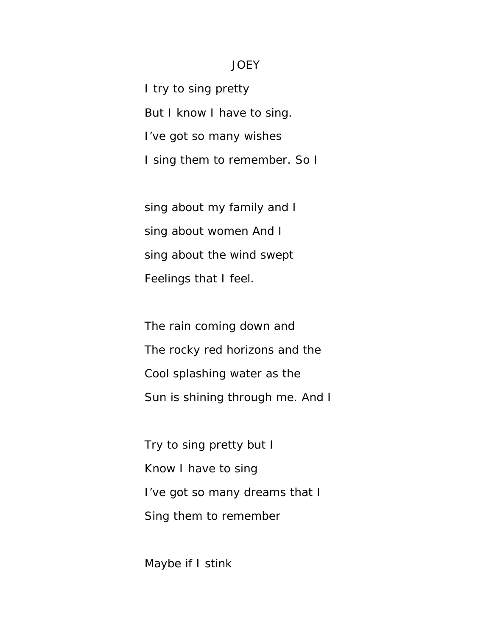#### **JOEY**

I try to sing pretty But I know I have to sing. I've got so many wishes I sing them to remember. So I

sing about my family and I sing about women And I sing about the wind swept Feelings that I feel.

The rain coming down and The rocky red horizons and the Cool splashing water as the Sun is shining through me. And I

Try to sing pretty but I Know I have to sing I've got so many dreams that I Sing them to remember

Maybe if I stink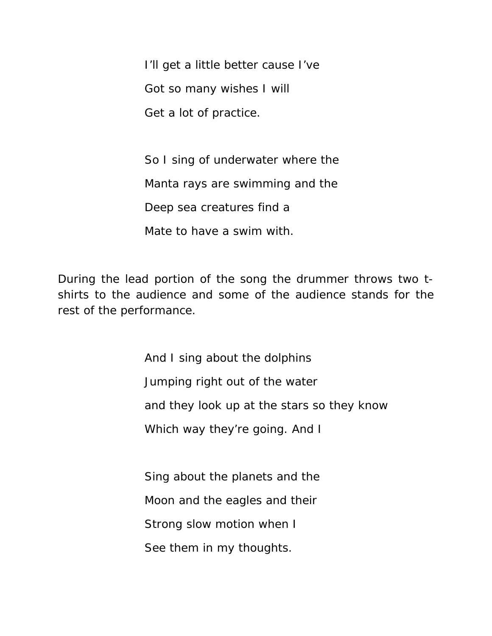I'll get a little better cause I've Got so many wishes I will Get a lot of practice.

So I sing of underwater where the Manta rays are swimming and the Deep sea creatures find a Mate to have a swim with.

During the lead portion of the song the drummer throws two tshirts to the audience and some of the audience stands for the rest of the performance.

> And I sing about the dolphins Jumping right out of the water and they look up at the stars so they know Which way they're going. And I

Sing about the planets and the Moon and the eagles and their Strong slow motion when I See them in my thoughts.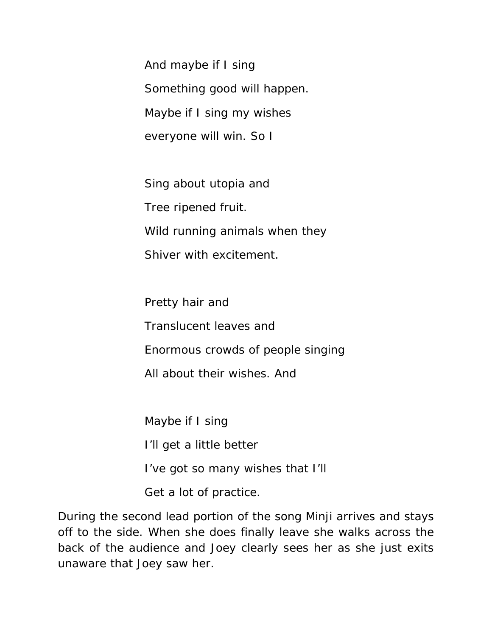And maybe if I sing Something good will happen. Maybe if I sing my wishes everyone will win. So I

Sing about utopia and Tree ripened fruit. Wild running animals when they Shiver with excitement.

Pretty hair and Translucent leaves and Enormous crowds of people singing All about their wishes. And

Maybe if I sing I'll get a little better I've got so many wishes that I'll Get a lot of practice.

During the second lead portion of the song Minji arrives and stays off to the side. When she does finally leave she walks across the back of the audience and Joey clearly sees her as she just exits unaware that Joey saw her.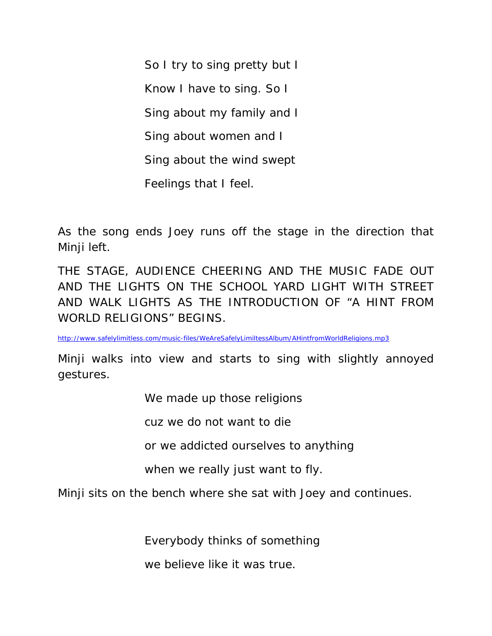So I try to sing pretty but I Know I have to sing. So I Sing about my family and I Sing about women and I Sing about the wind swept Feelings that I feel.

As the song ends Joey runs off the stage in the direction that Minji left.

THE STAGE, AUDIENCE CHEERING AND THE MUSIC FADE OUT AND THE LIGHTS ON THE SCHOOL YARD LIGHT WITH STREET AND WALK LIGHTS AS THE INTRODUCTION OF "A HINT FROM WORLD RELIGIONS" BEGINS.

http://www.safelylimitless.com/music-files/WeAreSafelyLimiltessAlbum/AHintfromWorldReligions.mp3

Minji walks into view and starts to sing with slightly annoyed gestures.

We made up those religions

cuz we do not want to die

or we addicted ourselves to anything

when we really just want to fly.

Minji sits on the bench where she sat with Joey and continues.

Everybody thinks of something

we believe like it was true.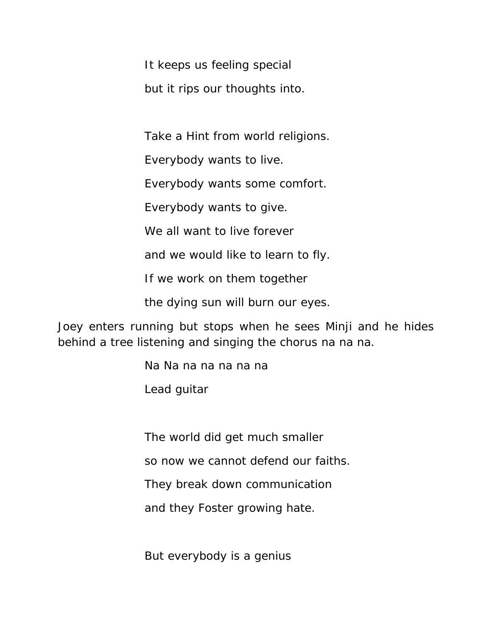It keeps us feeling special but it rips our thoughts into.

Take a Hint from world religions.

Everybody wants to live.

Everybody wants some comfort.

Everybody wants to give.

We all want to live forever

and we would like to learn to fly.

If we work on them together

the dying sun will burn our eyes.

Joey enters running but stops when he sees Minji and he hides behind a tree listening and singing the chorus na na na.

Na Na na na na na na

Lead guitar

The world did get much smaller

so now we cannot defend our faiths.

They break down communication

and they Foster growing hate.

But everybody is a genius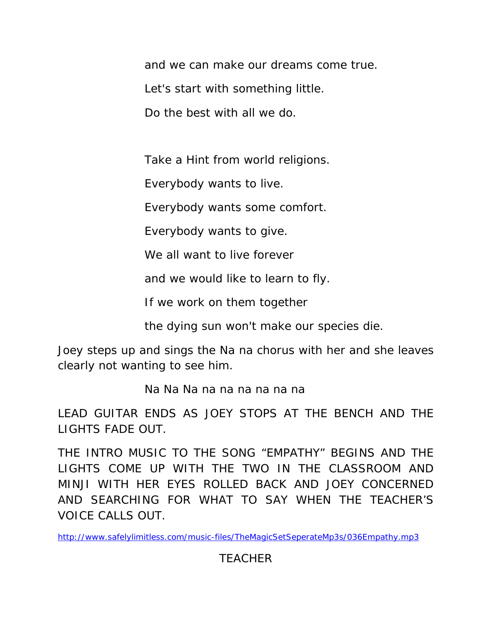and we can make our dreams come true.

Let's start with something little.

Do the best with all we do.

Take a Hint from world religions.

Everybody wants to live.

Everybody wants some comfort.

Everybody wants to give.

We all want to live forever

and we would like to learn to fly.

If we work on them together

the dying sun won't make our species die.

Joey steps up and sings the Na na chorus with her and she leaves clearly not wanting to see him.

Na Na Na na na na na na na

LEAD GUITAR ENDS AS JOEY STOPS AT THE BENCH AND THE LIGHTS FADE OUT.

THE INTRO MUSIC TO THE SONG "EMPATHY" BEGINS AND THE LIGHTS COME UP WITH THE TWO IN THE CLASSROOM AND MINJI WITH HER EYES ROLLED BACK AND JOEY CONCERNED AND SEARCHING FOR WHAT TO SAY WHEN THE TEACHER'S VOICE CALLS OUT.

http://www.safelylimitless.com/music-files/TheMagicSetSeperateMp3s/036Empathy.mp3

TEACHER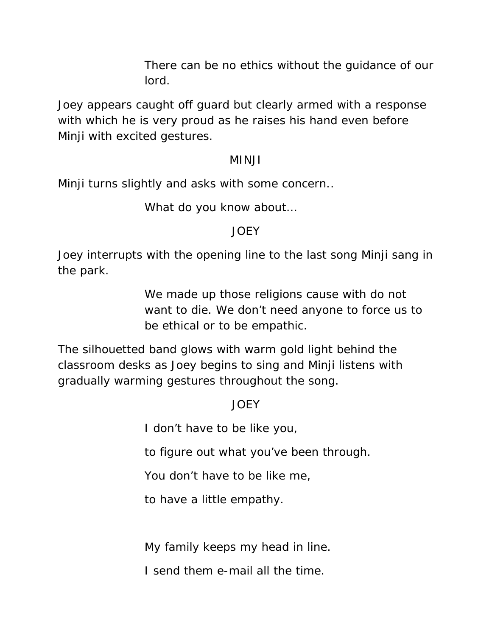There can be no ethics without the guidance of our lord.

Joey appears caught off guard but clearly armed with a response with which he is very proud as he raises his hand even before Minji with excited gestures.

#### MINJI

Minji turns slightly and asks with some concern..

What do you know about…

## JOEY

Joey interrupts with the opening line to the last song Minji sang in the park.

> We made up those religions cause with do not want to die. We don't need anyone to force us to be ethical or to be empathic.

The silhouetted band glows with warm gold light behind the classroom desks as Joey begins to sing and Minji listens with gradually warming gestures throughout the song.

# JOEY

I don't have to be like you,

to figure out what you've been through.

You don't have to be like me,

to have a little empathy.

My family keeps my head in line.

I send them e-mail all the time.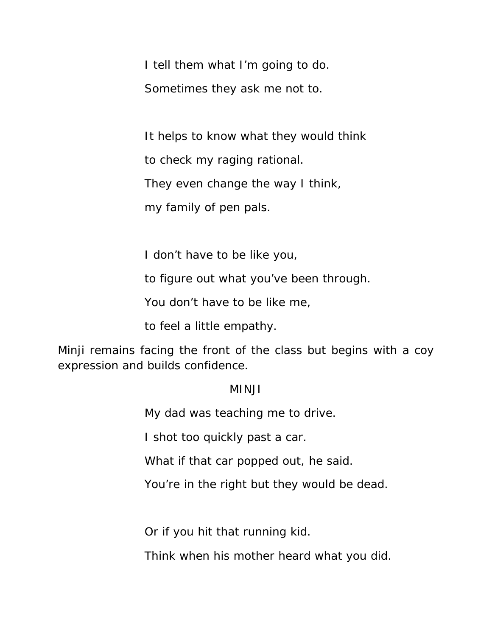I tell them what I'm going to do. Sometimes they ask me not to.

It helps to know what they would think

to check my raging rational.

They even change the way I think,

my family of pen pals.

I don't have to be like you,

to figure out what you've been through.

You don't have to be like me,

to feel a little empathy.

Minji remains facing the front of the class but begins with a coy expression and builds confidence.

#### MINJI

My dad was teaching me to drive.

I shot too quickly past a car.

What if that car popped out, he said.

You're in the right but they would be dead.

Or if you hit that running kid.

Think when his mother heard what you did.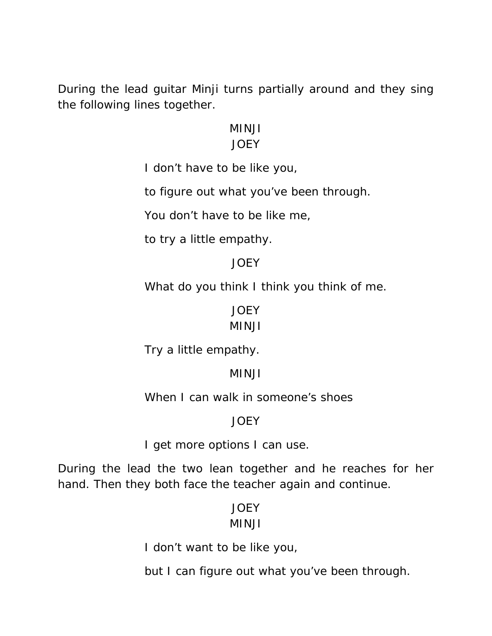During the lead guitar Minji turns partially around and they sing the following lines together.

#### MINJI

## JOEY

I don't have to be like you,

to figure out what you've been through.

You don't have to be like me,

to try a little empathy.

# JOEY

What do you think I think you think of me.

# JOEY

# MINJI

Try a little empathy.

# MINJI

When I can walk in someone's shoes

# JOEY

I get more options I can use.

During the lead the two lean together and he reaches for her hand. Then they both face the teacher again and continue.

# **JOEY**

# MINJI

I don't want to be like you,

but I can figure out what you've been through.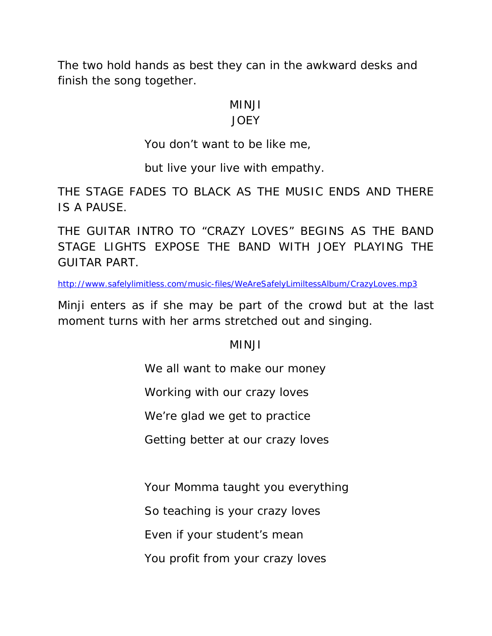The two hold hands as best they can in the awkward desks and finish the song together.

#### MINJI

#### JOEY

You don't want to be like me,

but live your live with empathy.

THE STAGE FADES TO BLACK AS THE MUSIC ENDS AND THERE IS A PAUSE.

THE GUITAR INTRO TO "CRAZY LOVES" BEGINS AS THE BAND STAGE LIGHTS EXPOSE THE BAND WITH JOEY PLAYING THE GUITAR PART.

http://www.safelylimitless.com/music-files/WeAreSafelyLimiltessAlbum/CrazyLoves.mp3

Minji enters as if she may be part of the crowd but at the last moment turns with her arms stretched out and singing.

# MINJI

We all want to make our money

Working with our crazy loves

We're glad we get to practice

Getting better at our crazy loves

Your Momma taught you everything

So teaching is your crazy loves

Even if your student's mean

You profit from your crazy loves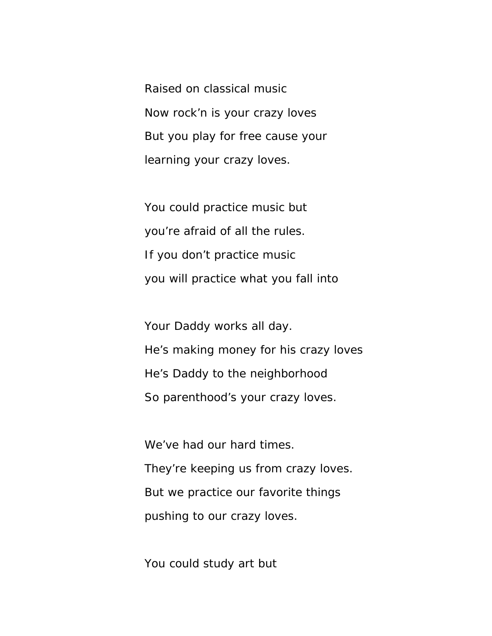Raised on classical music Now rock'n is your crazy loves But you play for free cause your learning your crazy loves.

You could practice music but you're afraid of all the rules. If you don't practice music you will practice what you fall into

Your Daddy works all day. He's making money for his crazy loves He's Daddy to the neighborhood So parenthood's your crazy loves.

We've had our hard times. They're keeping us from crazy loves. But we practice our favorite things pushing to our crazy loves.

You could study art but